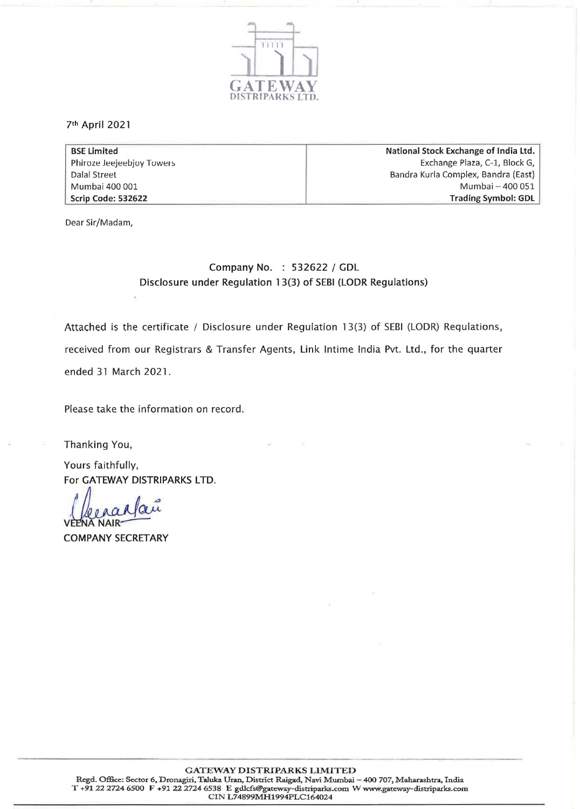

7th April 2021

BSE Limited Phiroze Jeejeebjoy Towers Dalal Street Mumbai 400 001 Scrip Code: 532622 National Stock Exchange of India Ltd. Exchange Plaza, C-1, Block G, Bandra Kurla Complex, Bandra (East) Mumbai - 400 051 Trading Symbol: GOL

Dear Sir/Madam,

## Company No. : 532622 / GDL Disclosure under Regulation 13(3) of SEBI (LODR Regulations)

Attached is the certificate / Disclosure under Regulation 13(3) of SEBI (LODR) Requlations, received from our Registrars & Transfer Agents, Link Intime India Pvt. Ltd., for the quarter ended 31 March 2021.

Please take the information on record.

Thanking You,

Yours faithfully, For GATEWAY DISTRIPARKS LTD.

 $\frac{\alpha\mu}{\sigma}$ **JA NAIR-**

COMPANY SECRETARY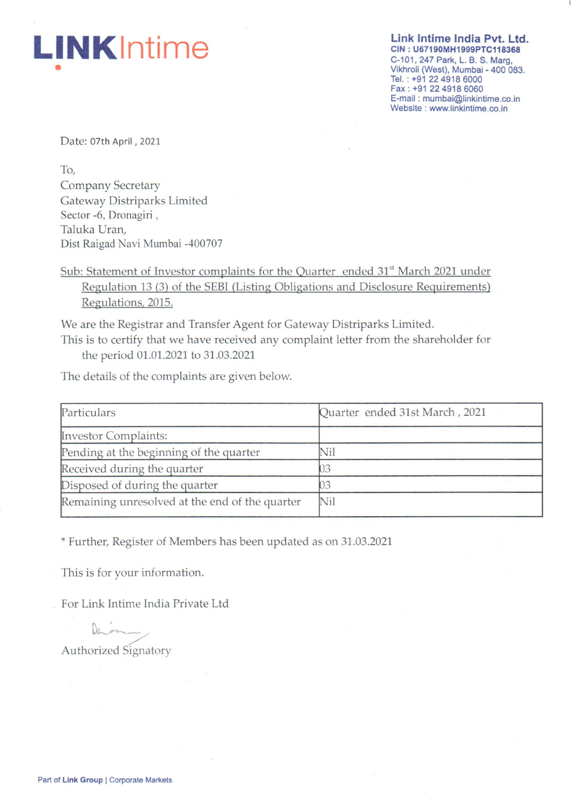# • **LINKlntime**

Link Intime India Pvt. Ltd. CIN : U67190MH1999PTC118368 C-101, 247 Park, L. B. S. Marg, Vikhroli (West), Mumbai - 400 083. Tel.: +91 22 4918 6000 Fax: +91 22 4918 6060 E-mail: [mumbai@linkintime.co.in](mailto:mumbai@linkintime.co.in) Website: [www.linkintime.co.in](http://www.linkintime.co.in)

Date: 07th April, 2021

To, Company Secretary Gateway Distriparks Limited Sector -6, Dronagiri , Taluka Uran, Dist Raigad Navi Mumbai -400707

Sub: Statement of Investor complaints for the Quarter ended 31<sup>st</sup> March 2021 under Regulation 13 (3) of the SEBI (Listing Obligations and Disclosure Requirements) Regulations, 2015.

We are the Registrar and Transfer Agent for Gateway Distriparks Limited.

This is to certify that we have received any complaint letter from the shareholder for the period 01.01.2021 to 31.03.2021

The details of the complaints are given below.

| Particulars                                    | Quarter ended 31st March, 2021 |  |
|------------------------------------------------|--------------------------------|--|
| <b>Investor Complaints:</b>                    |                                |  |
| Pending at the beginning of the quarter        | Nil                            |  |
| Received during the quarter                    |                                |  |
| Disposed of during the quarter                 |                                |  |
| Remaining unresolved at the end of the quarter | Nil                            |  |

\* Further, Register of Members has been updated as on 31.03.2021

This is for your information.

For Link Intime India Private Ltd

Duni Authorized Signatory